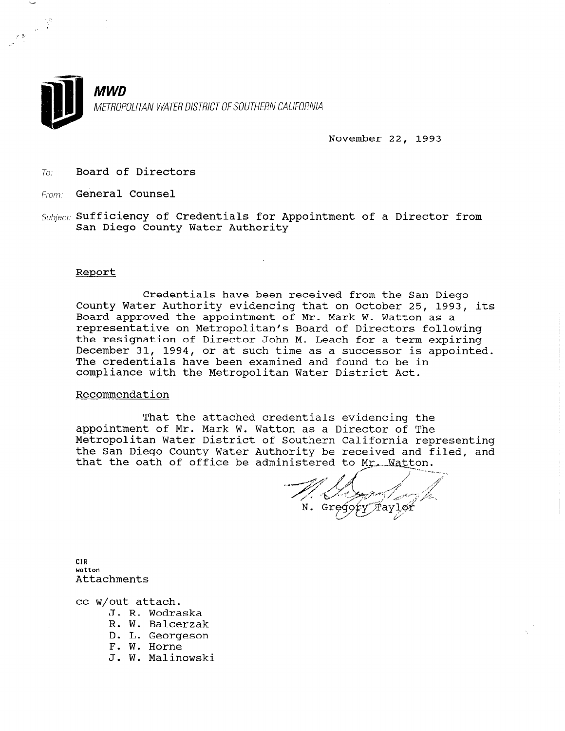

November 22, 1993

- To: Board of Directors
- From: General Counsel
- $Subject:$  Sufficiency of Credentials for Appointment of a Director from San Diego County Water Authority

### Report

Credentials have been received from the San Diego County Water Authority evidencing that on October 25, 1993, its Board approved the appointment of Mr. Mark W. Watton as a representative on Metropolitan's Board of Directors following the resignation of Director John M. Leach for a term expiring December 31, 1994, or at such time as a successor is appointed. The credentials have been examined and found to be in compliance with the Metropolitan Water District Act.

# Recommendation

That the attached credentials evidencing the appointment of Mr. Mark W. Watton as a Director of The Metropolitan Water District of Southern California representing the San Diego County Water Authority be received and filed, and that the oath of office be administered to  $Mr_{+}$ . Watton.

 $\rightarrow$  11  $\mathcal{A}$  ,  $\mathcal{A}$  ,  $\mathcal{A}$  $N$   $G^*$  $\widehat{T}$ avlo $\widehat{r}$ 

water watton<br>Attachments

cc w/out attach.

- J. R. Wodraska J. K. WOUTASK
- R. W. Baicerz
- D. L. Georgeson
- 
- F. W. Horne<br>J. W. Malinowski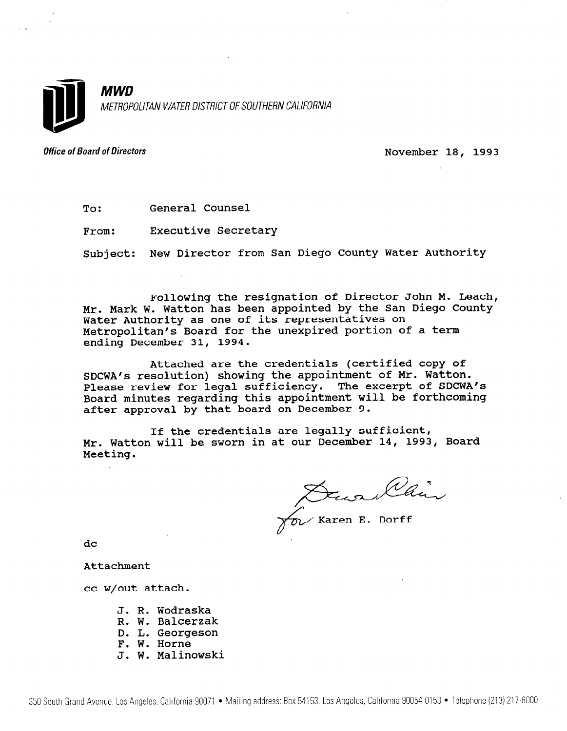

MWD METROPOLITAN WATER DISTRICT OF SOUTHERN CALIFORNIA

Office of Board of Directors and the Control of Board of Directors November 18, 1993

To: General Counsel

From: Executive Secretary

Subject: New Director from San Diego County Water Authority

Following the resignation of Director John M. Leach, Mr. Mark W. Watton has been appointed by the San Diego County Water Authority as one of its representatives on Metropolitan's Board for the unexpired portion of a term ending December 31, 1994.

Attached are the credentials (certified copy of SDCWA's resolution) showing the appointment of Mr. Watton. Please review for legal sufficiency. The excerpt of SDCWA's Board minutes regarding this appointment will be forthcoming after approval by that board on December 9.

If the credentials are legally sufficient, Mr. Watton will be sworn in at our December 14, 1993, Board Meeting.

Denvillaire

dc

Attachment

cc w/out attach.

- J. R. Wodraska R. W. Balcerzak D. L. Georgeson F. W. Horne
- J. W. Malinowski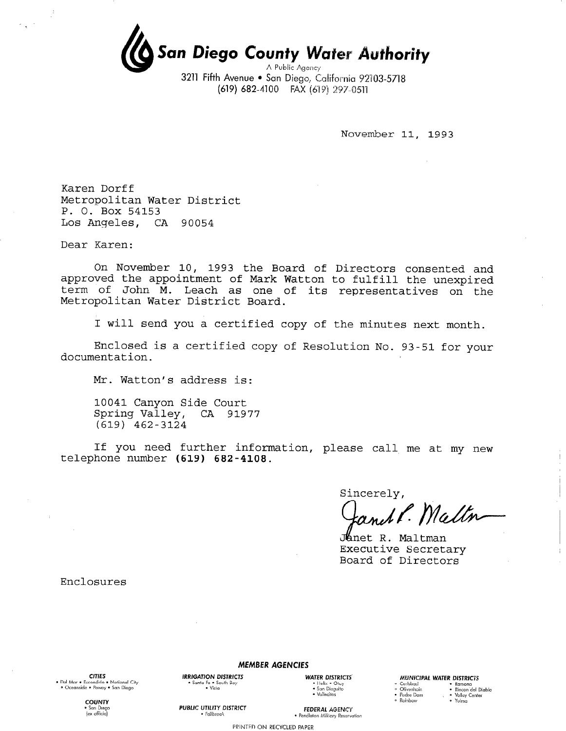San Diego County Water Authority A Public Agency

3211 Fifth Avenue . San Diego, California 92103-5718 (619) 682-4100 FAX (619) 297-0511

November 11, 1993

Karen Dorff Metropolitan Water District P. O. Box 54153 Los Angeles, CA 90054

Dear Karen:

On November 10, 1993 the Board of Directors consented and approved the appointment of Mark Watton to fulfill the unexpired term of John M. Leach as one of its representatives on the Metropolitan Water District Board.

I will send you a certified copy of the minutes next month.

Enclosed is a certified copy of Resolution No. 93-51 for your documentation.

Mr. Watton's address is:

10041 Canyon Side Court Spring Valley, CA 91977  $(619)$  462-3124

If you need further information, please call me at my new telephone number (619) 682-4108.

Sincerely,

and P. Maltn

Janet R. Maltman Executive Secretary Board of Directors

Enclosures

**CITIES**  $\bullet$  Dol Mor  $\bullet$  Free . . . . .<br>dido • National City леї мат • Esconaicio • напольника<br>• Oceanside • Poway • San Diego

**MEMBER AGENCIES** 

**IRRIGATION DISTRICTS** 

Santa Fe • South Bay<br>• Visia

**PUBLIC UTILITY DISTRICT** 

 $\cdot$  Fallbrook

**WATER DISTRICTS** ◆ Helix ◆ Otay<br>◆ San Dieouito • Vallecitos

#### MUNICIPAL WATER DISTRICTS

- ∘ Carlsbad<br>∘ Olivenhain
- Ramona<br>- Rincon del Diablo • Padre Dam • Kincon der Dr<br>• Valley Center
- · Yuima · Rainhow

**COUNTY** ex officiol

**FEDERAL AGENCY** · Pendleton Military Reservation

PRINTED ON RECYCLED PAPER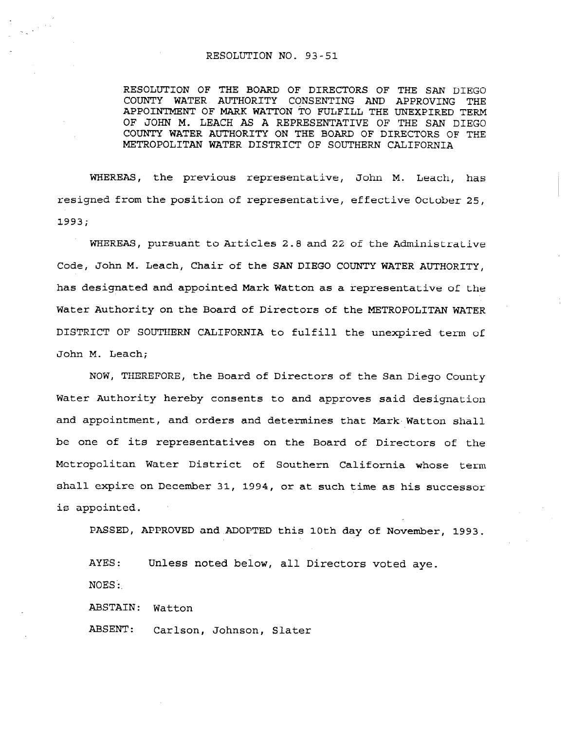## RESOLUTION NO. 93-51

RESOLUTION OF THE BOARD OF DIRECTORS OF THE SAN DIEGO COUNTY WATER AUTHORITY CONSENTING AND APPROVING THE APPOINTMENT OF MARK WATTON TO FULFILL THE UNEXPIRED TERM OF JOHN M. LEACH AS A REPRESENTATIVE OF THE SAN DIEGO COUNTY WATER AUTHORITY ON THE BOARD OF DIRECTORS OF THE METROPOLITAN WATER DISTRICT OF SOUTHERN CALIFORNIA

WHEREAS, the previous representative, John M. Leach, has resigned from the position of representative, effective October 25, 1993;

WHEREAS, pursuant to Articles 2.8 and 22 of the Administrative Code, John M. Leach, Chair of the SAN DIEGO COUNTY WATER AUTHORITY, has designated and appointed Mark Watton as a representative of the Water Authority on the Board of Directors of the METROPOLITAN WATER DISTRICT OF SOUTHERN CALIFORNIA to fulfill the unexpired term of John M. Leach;

NOW, THEREFORE, the Board of Directors of the San Diego County Water Authority hereby consents to and approves said designation and appointment, and orders and determines that Mark Watton shall be one of its representatives on the Board of Directors of the Metropolitan Water District of Southern California whose term shall expire on December 31, 1994, or at such time as his successor is appointed.

PASSED, APPROVED and ADOPTED this 10th day of November, 1993.

AYES: Unless noted below, all Directors voted aye. NOES':,

ABSTAIN: Watton

ABSENT: Carlson, Johnson, Slater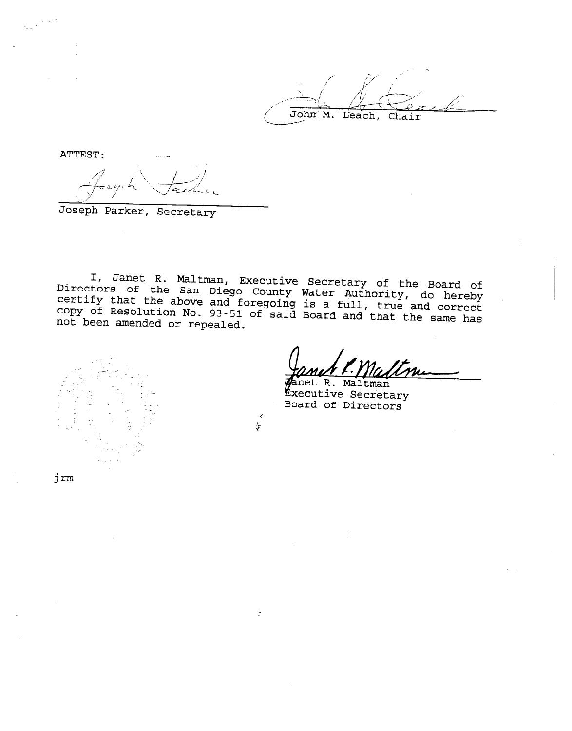John M. Leach, Chair

ATTEST: \_\_

/

Joseph Parker, Secreta

I, Janet R. Maltman,  $\mathtt{Direct}$ Executive Secretary of the Board of of the San Diego County Water Authori certify that the above and foregoing is a full do hereb copy of Resolution No.  $t = -t/2$ , as  $nete$ 93-51 of said Board and'that the same has not been amended or repeale

 $\frac{1}{2}$ 

 $\vec{\Xi}$  , and  $\vec{\Xi}$  ,  $\vec{\Xi}$ -; \_ \_. . \_ , jm

. The contract of the contract of the contract of the contract of the contract of the contract of the contract of the contract of the contract of the contract of the contract of the contract of the contract of the contrac

net R. Maltman Executive Secretary<br>Board of Directors